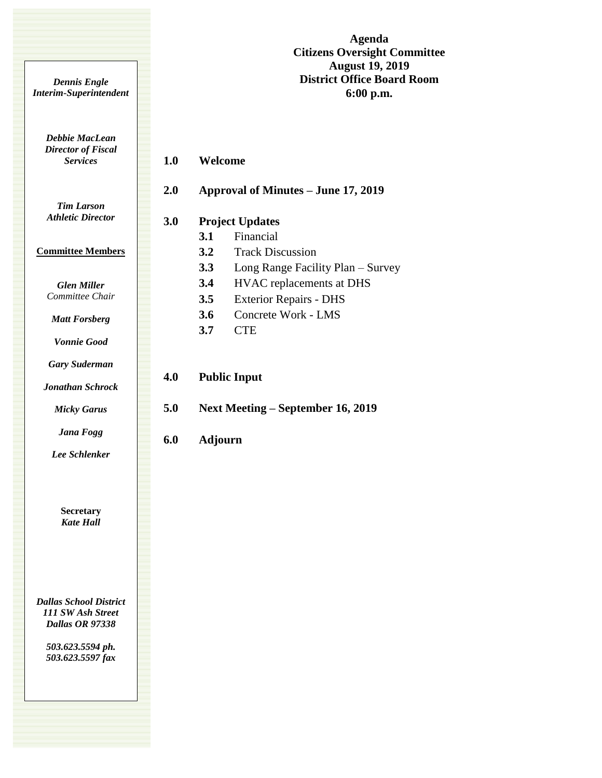**Agenda Citizens Oversight Committee August 19, 2019 District Office Board Room 6:00 p.m.**

*Debbie MacLean Director of Fiscal Services*

*Dennis Engle Interim-Superintendent*

## **1.0 Welcome**

*Tim Larson Athletic Director*

## **Committee Members**

*Glen Miller Committee Chair*

*Matt Forsberg*

*Vonnie Good*

*Gary Suderman*

*Jonathan Schrock*

*Micky Garus*

*Jana Fogg*

*Lee Schlenker*

**Secretary** *Kate Hall*

*Dallas School District 111 SW Ash Street Dallas OR 97338*

> *503.623.5594 ph. 503.623.5597 fax*

| 2.0 | Approval of Minutes – June 17, 2019 |                                   |
|-----|-------------------------------------|-----------------------------------|
| 3.0 | <b>Project Updates</b>              |                                   |
|     | <b>3.1</b>                          | Financial                         |
|     | 3.2                                 | <b>Track Discussion</b>           |
|     | 3.3                                 | Long Range Facility Plan – Survey |
|     | 3.4                                 | HVAC replacements at DHS          |
|     | 3.5                                 | <b>Exterior Repairs - DHS</b>     |
|     | 3.6                                 | Concrete Work - LMS               |
|     | 3.7                                 | <b>CTE</b>                        |
|     |                                     |                                   |
| 4.0 | <b>Public Input</b>                 |                                   |
| 5.0 | Next Meeting – September 16, 2019   |                                   |
| 6.0 | <b>Adjourn</b>                      |                                   |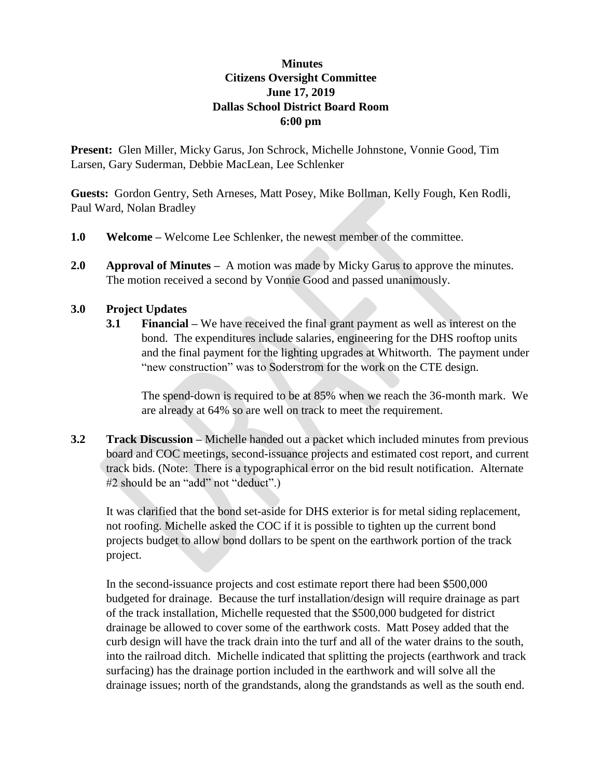## **Minutes Citizens Oversight Committee June 17, 2019 Dallas School District Board Room 6:00 pm**

**Present:** Glen Miller, Micky Garus, Jon Schrock, Michelle Johnstone, Vonnie Good, Tim Larsen, Gary Suderman, Debbie MacLean, Lee Schlenker

**Guests:** Gordon Gentry, Seth Arneses, Matt Posey, Mike Bollman, Kelly Fough, Ken Rodli, Paul Ward, Nolan Bradley

- **1.0 Welcome –** Welcome Lee Schlenker, the newest member of the committee.
- **2.0 Approval of Minutes** A motion was made by Micky Garus to approve the minutes. The motion received a second by Vonnie Good and passed unanimously.

## **3.0 Project Updates**

**3.1 Financial –** We have received the final grant payment as well as interest on the bond. The expenditures include salaries, engineering for the DHS rooftop units and the final payment for the lighting upgrades at Whitworth. The payment under "new construction" was to Soderstrom for the work on the CTE design.

The spend-down is required to be at 85% when we reach the 36-month mark. We are already at 64% so are well on track to meet the requirement.

**3.2 Track Discussion –** Michelle handed out a packet which included minutes from previous board and COC meetings, second-issuance projects and estimated cost report, and current track bids. (Note: There is a typographical error on the bid result notification. Alternate #2 should be an "add" not "deduct".)

It was clarified that the bond set-aside for DHS exterior is for metal siding replacement, not roofing. Michelle asked the COC if it is possible to tighten up the current bond projects budget to allow bond dollars to be spent on the earthwork portion of the track project.

In the second-issuance projects and cost estimate report there had been \$500,000 budgeted for drainage. Because the turf installation/design will require drainage as part of the track installation, Michelle requested that the \$500,000 budgeted for district drainage be allowed to cover some of the earthwork costs. Matt Posey added that the curb design will have the track drain into the turf and all of the water drains to the south, into the railroad ditch. Michelle indicated that splitting the projects (earthwork and track surfacing) has the drainage portion included in the earthwork and will solve all the drainage issues; north of the grandstands, along the grandstands as well as the south end.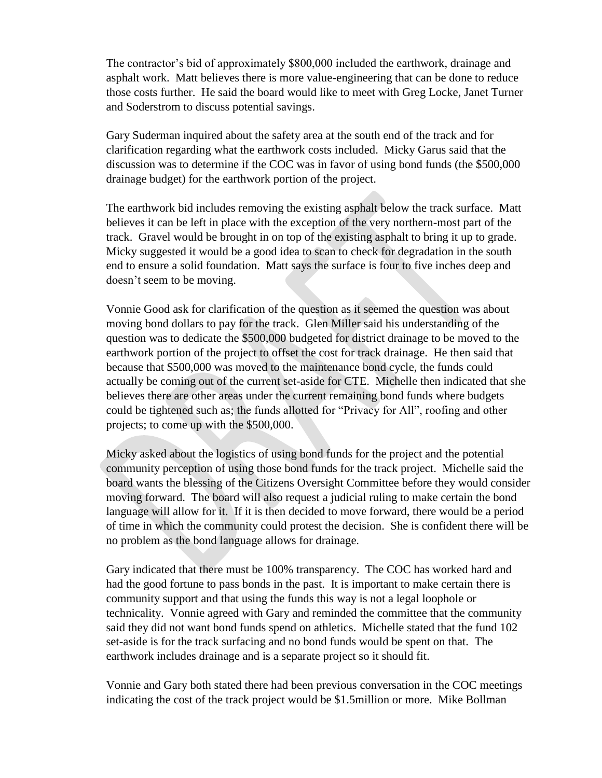The contractor's bid of approximately \$800,000 included the earthwork, drainage and asphalt work. Matt believes there is more value-engineering that can be done to reduce those costs further. He said the board would like to meet with Greg Locke, Janet Turner and Soderstrom to discuss potential savings.

Gary Suderman inquired about the safety area at the south end of the track and for clarification regarding what the earthwork costs included. Micky Garus said that the discussion was to determine if the COC was in favor of using bond funds (the \$500,000 drainage budget) for the earthwork portion of the project.

The earthwork bid includes removing the existing asphalt below the track surface. Matt believes it can be left in place with the exception of the very northern-most part of the track. Gravel would be brought in on top of the existing asphalt to bring it up to grade. Micky suggested it would be a good idea to scan to check for degradation in the south end to ensure a solid foundation. Matt says the surface is four to five inches deep and doesn't seem to be moving.

Vonnie Good ask for clarification of the question as it seemed the question was about moving bond dollars to pay for the track. Glen Miller said his understanding of the question was to dedicate the \$500,000 budgeted for district drainage to be moved to the earthwork portion of the project to offset the cost for track drainage. He then said that because that \$500,000 was moved to the maintenance bond cycle, the funds could actually be coming out of the current set-aside for CTE. Michelle then indicated that she believes there are other areas under the current remaining bond funds where budgets could be tightened such as; the funds allotted for "Privacy for All", roofing and other projects; to come up with the \$500,000.

Micky asked about the logistics of using bond funds for the project and the potential community perception of using those bond funds for the track project. Michelle said the board wants the blessing of the Citizens Oversight Committee before they would consider moving forward. The board will also request a judicial ruling to make certain the bond language will allow for it. If it is then decided to move forward, there would be a period of time in which the community could protest the decision. She is confident there will be no problem as the bond language allows for drainage.

Gary indicated that there must be 100% transparency. The COC has worked hard and had the good fortune to pass bonds in the past. It is important to make certain there is community support and that using the funds this way is not a legal loophole or technicality. Vonnie agreed with Gary and reminded the committee that the community said they did not want bond funds spend on athletics. Michelle stated that the fund 102 set-aside is for the track surfacing and no bond funds would be spent on that. The earthwork includes drainage and is a separate project so it should fit.

Vonnie and Gary both stated there had been previous conversation in the COC meetings indicating the cost of the track project would be \$1.5million or more. Mike Bollman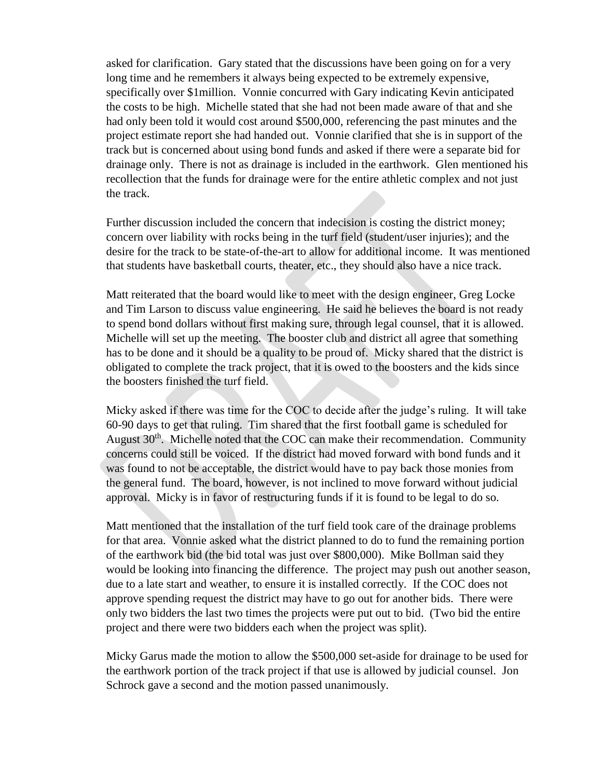asked for clarification. Gary stated that the discussions have been going on for a very long time and he remembers it always being expected to be extremely expensive, specifically over \$1million. Vonnie concurred with Gary indicating Kevin anticipated the costs to be high. Michelle stated that she had not been made aware of that and she had only been told it would cost around \$500,000, referencing the past minutes and the project estimate report she had handed out. Vonnie clarified that she is in support of the track but is concerned about using bond funds and asked if there were a separate bid for drainage only. There is not as drainage is included in the earthwork. Glen mentioned his recollection that the funds for drainage were for the entire athletic complex and not just the track.

Further discussion included the concern that indecision is costing the district money; concern over liability with rocks being in the turf field (student/user injuries); and the desire for the track to be state-of-the-art to allow for additional income. It was mentioned that students have basketball courts, theater, etc., they should also have a nice track.

Matt reiterated that the board would like to meet with the design engineer, Greg Locke and Tim Larson to discuss value engineering. He said he believes the board is not ready to spend bond dollars without first making sure, through legal counsel, that it is allowed. Michelle will set up the meeting. The booster club and district all agree that something has to be done and it should be a quality to be proud of. Micky shared that the district is obligated to complete the track project, that it is owed to the boosters and the kids since the boosters finished the turf field.

Micky asked if there was time for the COC to decide after the judge's ruling. It will take 60-90 days to get that ruling. Tim shared that the first football game is scheduled for August  $30<sup>th</sup>$ . Michelle noted that the COC can make their recommendation. Community concerns could still be voiced. If the district had moved forward with bond funds and it was found to not be acceptable, the district would have to pay back those monies from the general fund. The board, however, is not inclined to move forward without judicial approval. Micky is in favor of restructuring funds if it is found to be legal to do so.

Matt mentioned that the installation of the turf field took care of the drainage problems for that area. Vonnie asked what the district planned to do to fund the remaining portion of the earthwork bid (the bid total was just over \$800,000). Mike Bollman said they would be looking into financing the difference. The project may push out another season, due to a late start and weather, to ensure it is installed correctly. If the COC does not approve spending request the district may have to go out for another bids. There were only two bidders the last two times the projects were put out to bid. (Two bid the entire project and there were two bidders each when the project was split).

Micky Garus made the motion to allow the \$500,000 set-aside for drainage to be used for the earthwork portion of the track project if that use is allowed by judicial counsel. Jon Schrock gave a second and the motion passed unanimously.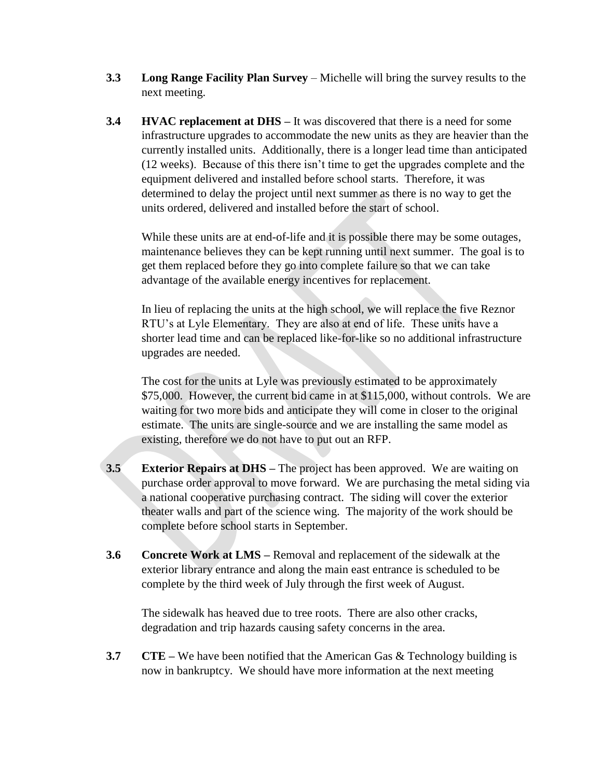- **3.3 Long Range Facility Plan Survey** Michelle will bring the survey results to the next meeting.
- **3.4 HVAC replacement at DHS** It was discovered that there is a need for some infrastructure upgrades to accommodate the new units as they are heavier than the currently installed units. Additionally, there is a longer lead time than anticipated (12 weeks). Because of this there isn't time to get the upgrades complete and the equipment delivered and installed before school starts. Therefore, it was determined to delay the project until next summer as there is no way to get the units ordered, delivered and installed before the start of school.

While these units are at end-of-life and it is possible there may be some outages, maintenance believes they can be kept running until next summer. The goal is to get them replaced before they go into complete failure so that we can take advantage of the available energy incentives for replacement.

In lieu of replacing the units at the high school, we will replace the five Reznor RTU's at Lyle Elementary. They are also at end of life. These units have a shorter lead time and can be replaced like-for-like so no additional infrastructure upgrades are needed.

The cost for the units at Lyle was previously estimated to be approximately \$75,000. However, the current bid came in at \$115,000, without controls. We are waiting for two more bids and anticipate they will come in closer to the original estimate. The units are single-source and we are installing the same model as existing, therefore we do not have to put out an RFP.

- **3.5 Exterior Repairs at DHS** The project has been approved. We are waiting on purchase order approval to move forward. We are purchasing the metal siding via a national cooperative purchasing contract. The siding will cover the exterior theater walls and part of the science wing. The majority of the work should be complete before school starts in September.
- **3.6 Concrete Work at LMS –** Removal and replacement of the sidewalk at the exterior library entrance and along the main east entrance is scheduled to be complete by the third week of July through the first week of August.

The sidewalk has heaved due to tree roots. There are also other cracks, degradation and trip hazards causing safety concerns in the area.

**3.7 CTE** – We have been notified that the American Gas & Technology building is now in bankruptcy. We should have more information at the next meeting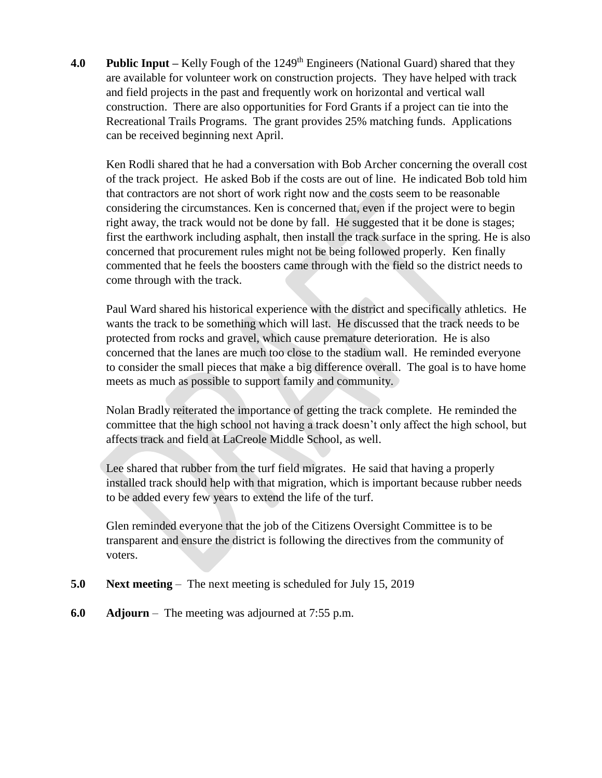**4.0 Public Input** – Kelly Fough of the 1249<sup>th</sup> Engineers (National Guard) shared that they are available for volunteer work on construction projects. They have helped with track and field projects in the past and frequently work on horizontal and vertical wall construction. There are also opportunities for Ford Grants if a project can tie into the Recreational Trails Programs. The grant provides 25% matching funds. Applications can be received beginning next April.

Ken Rodli shared that he had a conversation with Bob Archer concerning the overall cost of the track project. He asked Bob if the costs are out of line. He indicated Bob told him that contractors are not short of work right now and the costs seem to be reasonable considering the circumstances. Ken is concerned that, even if the project were to begin right away, the track would not be done by fall. He suggested that it be done is stages; first the earthwork including asphalt, then install the track surface in the spring. He is also concerned that procurement rules might not be being followed properly. Ken finally commented that he feels the boosters came through with the field so the district needs to come through with the track.

Paul Ward shared his historical experience with the district and specifically athletics. He wants the track to be something which will last. He discussed that the track needs to be protected from rocks and gravel, which cause premature deterioration. He is also concerned that the lanes are much too close to the stadium wall. He reminded everyone to consider the small pieces that make a big difference overall. The goal is to have home meets as much as possible to support family and community.

Nolan Bradly reiterated the importance of getting the track complete. He reminded the committee that the high school not having a track doesn't only affect the high school, but affects track and field at LaCreole Middle School, as well.

Lee shared that rubber from the turf field migrates. He said that having a properly installed track should help with that migration, which is important because rubber needs to be added every few years to extend the life of the turf.

Glen reminded everyone that the job of the Citizens Oversight Committee is to be transparent and ensure the district is following the directives from the community of voters.

- **5.0 Next meeting** The next meeting is scheduled for July 15, 2019
- **6.0 Adjourn**  The meeting was adjourned at 7:55 p.m.